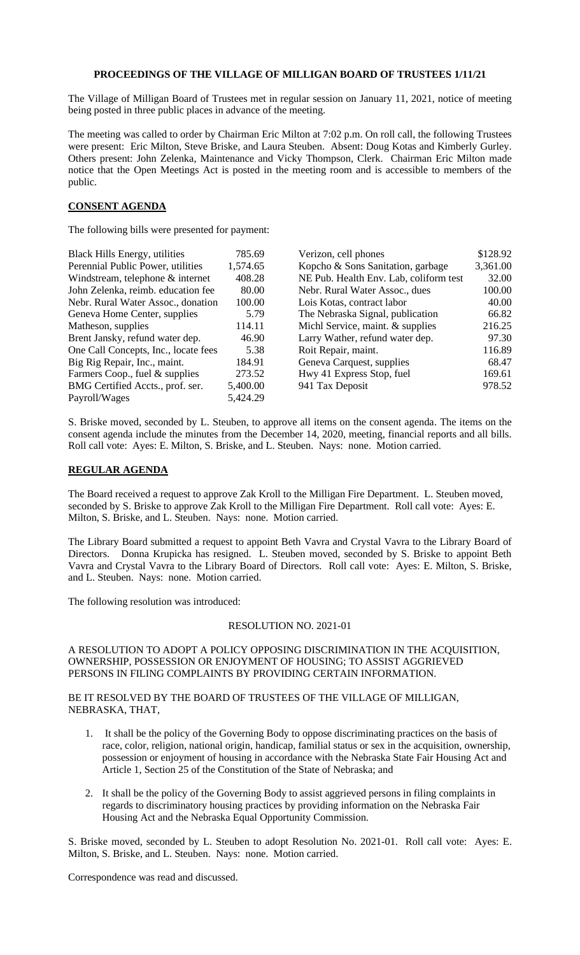## **PROCEEDINGS OF THE VILLAGE OF MILLIGAN BOARD OF TRUSTEES 1/11/21**

The Village of Milligan Board of Trustees met in regular session on January 11, 2021, notice of meeting being posted in three public places in advance of the meeting.

The meeting was called to order by Chairman Eric Milton at 7:02 p.m. On roll call, the following Trustees were present: Eric Milton, Steve Briske, and Laura Steuben. Absent: Doug Kotas and Kimberly Gurley. Others present: John Zelenka, Maintenance and Vicky Thompson, Clerk. Chairman Eric Milton made notice that the Open Meetings Act is posted in the meeting room and is accessible to members of the public.

## **CONSENT AGENDA**

The following bills were presented for payment:

| <b>Black Hills Energy, utilities</b> | 785.69   | Verizon, cell phones                   | \$128.92 |
|--------------------------------------|----------|----------------------------------------|----------|
| Perennial Public Power, utilities    | 1,574.65 | Kopcho & Sons Sanitation, garbage      | 3,361.00 |
| Windstream, telephone & internet     | 408.28   | NE Pub. Health Env. Lab, coliform test | 32.00    |
| John Zelenka, reimb. education fee   | 80.00    | Nebr. Rural Water Assoc., dues         | 100.00   |
| Nebr. Rural Water Assoc., donation   | 100.00   | Lois Kotas, contract labor             | 40.00    |
| Geneva Home Center, supplies         | 5.79     | The Nebraska Signal, publication       | 66.82    |
| Matheson, supplies                   | 114.11   | Michl Service, maint. & supplies       | 216.25   |
| Brent Jansky, refund water dep.      | 46.90    | Larry Wather, refund water dep.        | 97.30    |
| One Call Concepts, Inc., locate fees | 5.38     | Roit Repair, maint.                    | 116.89   |
| Big Rig Repair, Inc., maint.         | 184.91   | Geneva Carquest, supplies              | 68.47    |
| Farmers Coop., fuel & supplies       | 273.52   | Hwy 41 Express Stop, fuel              | 169.61   |
| BMG Certified Accts., prof. ser.     | 5,400.00 | 941 Tax Deposit                        | 978.52   |
| Payroll/Wages                        | 5,424.29 |                                        |          |
|                                      |          |                                        |          |

S. Briske moved, seconded by L. Steuben, to approve all items on the consent agenda. The items on the consent agenda include the minutes from the December 14, 2020, meeting, financial reports and all bills. Roll call vote: Ayes: E. Milton, S. Briske, and L. Steuben. Nays: none. Motion carried.

## **REGULAR AGENDA**

The Board received a request to approve Zak Kroll to the Milligan Fire Department. L. Steuben moved, seconded by S. Briske to approve Zak Kroll to the Milligan Fire Department. Roll call vote: Ayes: E. Milton, S. Briske, and L. Steuben. Nays: none. Motion carried.

The Library Board submitted a request to appoint Beth Vavra and Crystal Vavra to the Library Board of Directors. Donna Krupicka has resigned. L. Steuben moved, seconded by S. Briske to appoint Beth Vavra and Crystal Vavra to the Library Board of Directors. Roll call vote: Ayes: E. Milton, S. Briske, and L. Steuben. Nays: none. Motion carried.

The following resolution was introduced:

## RESOLUTION NO. 2021-01

A RESOLUTION TO ADOPT A POLICY OPPOSING DISCRIMINATION IN THE ACQUISITION, OWNERSHIP, POSSESSION OR ENJOYMENT OF HOUSING; TO ASSIST AGGRIEVED PERSONS IN FILING COMPLAINTS BY PROVIDING CERTAIN INFORMATION.

BE IT RESOLVED BY THE BOARD OF TRUSTEES OF THE VILLAGE OF MILLIGAN, NEBRASKA, THAT,

- 1. It shall be the policy of the Governing Body to oppose discriminating practices on the basis of race, color, religion, national origin, handicap, familial status or sex in the acquisition, ownership, possession or enjoyment of housing in accordance with the Nebraska State Fair Housing Act and Article 1, Section 25 of the Constitution of the State of Nebraska; and
- 2. It shall be the policy of the Governing Body to assist aggrieved persons in filing complaints in regards to discriminatory housing practices by providing information on the Nebraska Fair Housing Act and the Nebraska Equal Opportunity Commission.

S. Briske moved, seconded by L. Steuben to adopt Resolution No. 2021-01. Roll call vote: Ayes: E. Milton, S. Briske, and L. Steuben. Nays: none. Motion carried.

Correspondence was read and discussed.